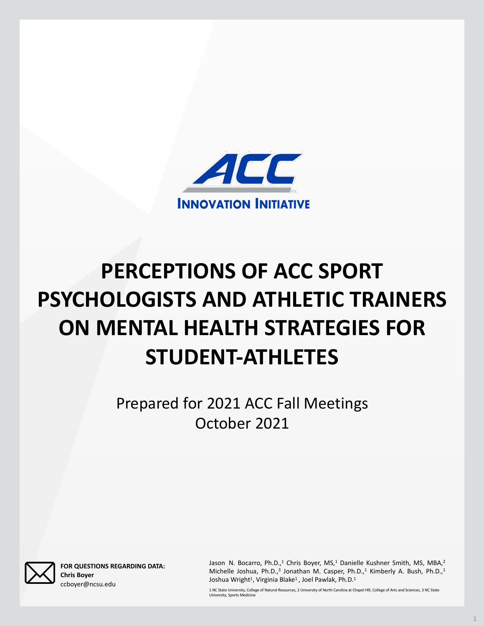# **PERCEPTIONS OF ACC SPORT PSYCHOLOGISTS AND ATHLETIC TRAINERS ON MENTAL HEALTH STRATEGIES FOR STUDENT-ATHLETES**



## Prepared for 2021 ACC Fall Meetings October 2021



**FOR QUESTIONS REGARDING DATA: Chris Boyer** ccboyer@ncsu.edu

Jason N. Bocarro, Ph.D.,<sup>1</sup> Chris Boyer, MS,<sup>1</sup> Danielle Kushner Smith, MS, MBA,<sup>2</sup> Michelle Joshua, Ph.D.,<sup>3</sup> Jonathan M. Casper, Ph.D.,<sup>1</sup> Kimberly A. Bush, Ph.D.,<sup>1</sup> Joshua Wright<sup>1</sup>, Virginia Blake<sup>1</sup>, Joel Pawlak, Ph.D.<sup>1</sup>

1 NC State University, College of Natural Resources, 2 University of North Carolina at Chapel Hill, College of Arts and Sciences, 3 NC State University, Sports Medicine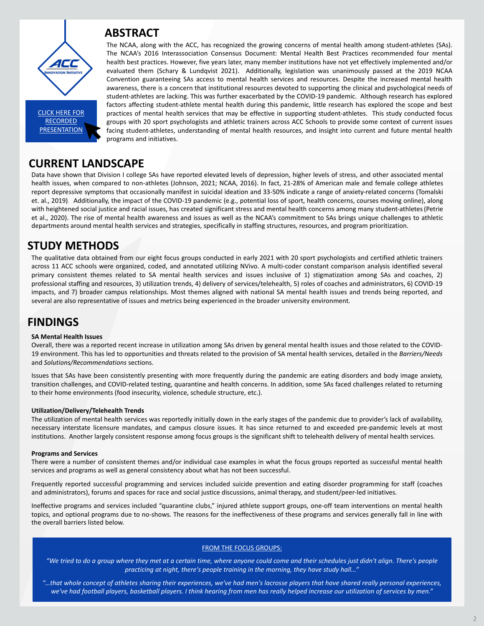### **FINDINGS**

#### **SA Mental Health Issues**

Overall, there was a reported recent increase in utilization among SAs driven by general health is under 19 environment. This has led to opportunities and threats related to the and *Solutions/Recommendations* sections.

Issues that SAs have been consistently presenting with more frequently transition challenges, and COVID-related testing, quarantine and health on to their home environments (food insecurity, violence, schedule structure

### **Utilization/Delivery/Telehealth Trends**

The utilization of mental health services was reportedly initially down in necessary interstate licensure mandates, and campus closure issues. It in[stitutions.](https://uncch.hosted.panopto.com/Panopto/Pages/Viewer.aspx?id=a5484f70-14b3-4fe8-acfa-adad00edd0e3) Another largely consistent response among focus groups is the significant shift to tele

### **Programs and Services**

There were a number of consistent themes and/or individual case exan services and programs as well as general consistency about what has not

Frequently reported successful programming and services included suid and administrators), forums and spaces for race and social justice discuss

Ineffective programs and services included "quarantine clubs," injured at topics, and optional programs due to no-shows. The reasons for the inefactive the overall barriers listed below.

#### FROM THE FO

*"We tried to do a group where they met at a certain time, where any practicing at night, there's people training* 

*"…that whole concept of athletes sharing their experiences, we've had men's lacrosse players that have shared really personal experiences, we've had football players, basketball players. I think hearing from men has really helped increase our utilization of services by men."*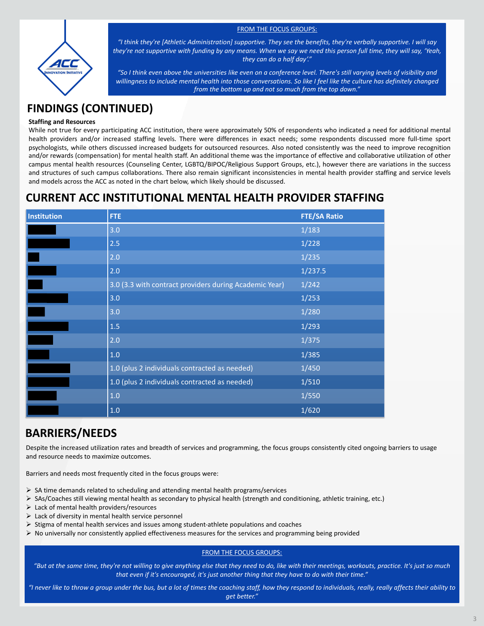| Institution | <b>FTE</b>                                             | <b>FTE/SA Ratio</b> |
|-------------|--------------------------------------------------------|---------------------|
|             | 3.0                                                    | 1/183               |
|             | 2.5                                                    | 1/228               |
|             | 2.0                                                    | 1/235               |
|             | 2.0                                                    | 1/237.5             |
|             | 3.0 (3.3 with contract providers during Academic Year) | 1/242               |
|             | 3.0                                                    | 1/253               |
|             | 3.0                                                    | 1/280               |
|             | 1.5                                                    | 1/293               |
|             | 2.0                                                    | 1/375               |
|             | 1.0                                                    | 1/385               |
|             | 1.0 (plus 2 individuals contracted as needed)          | 1/450               |
|             | 1.0 (plus 2 individuals contracted as needed)          | 1/510               |
|             | 1.0                                                    | 1/550               |
|             | 1.0                                                    | 1/620               |

### **CURRENT ACC INSTITUTIONAL MENTAL HEALTH PROVIDER STAFFING**

### **BARRIERS/NEEDS**

Despite the increased utilization rates and breadth of services and programming, the focus groups consistently cited ongoing barriers to usage and resource needs to maximize outcomes.

Barriers and needs most frequently cited in the focus groups were:

- $\triangleright$  SA time demands related to scheduling and attending mental health programs/services
- Ø SAs/Coaches still viewing mental health as secondary to physical health (strength and conditioning, athletic training, etc.)
- $\triangleright$  Lack of mental health providers/resources
- $\triangleright$  Lack of diversity in mental health service personnel
- $\triangleright$  Stigma of mental health services and issues among student-athlete populations and coaches
- $\triangleright$  No universally nor consistently applied effectiveness measures for the services and programming being provided

### FROM THE FOCUS GROUPS:

*"But at the same time, they're not willing to give anything else that they need to do, like with their meetings, workouts, practice. It's just so much that even if it's encouraged, it's just another thing that they have to do with their time."* 

*"I never like to throw a group under the bus, but a lot of times the coaching staff, how they respond to individuals, really, really affects their ability to get better."*

### **Staffing and Resources**

While not true for every participating ACC institution, there were approximately 50% of respondents who indicated a need for additional mental health providers and/or increased staffing levels. There were differences in exact needs; some respondents discussed more full-time sport psychologists, while others discussed increased budgets for outsourced resources. Also noted consistently was the need to improve recognition and/or rewards (compensation) for mental health staff. An additional theme was the importance of effective and collaborative utilization of other campus mental health resources (Counseling Center, LGBTQ/BIPOC/Religious Support Groups, etc.), however there are variations in the success and structures of such campus collaborations. There also remain significant inconsistencies in mental health provider staffing and service levels and models across the ACC as noted in the chart below, which likely should be discussed.

### FROM THE FOCUS GROUPS:



*"I think they're [Athletic Administration] supportive. They see the benefits, they're verbally supportive. I will say they're not supportive with funding by any means. When we say we need this person full time, they will say, 'Yeah, they can do a half day'."*

*"So I think even above the universities like even on a conference level. There's still varying levels of visibility and willingness to include mental health into those conversations. So like I feel like the culture has definitely changed from the bottom up and not so much from the top down."*

### **FINDINGS (CONTINUED)**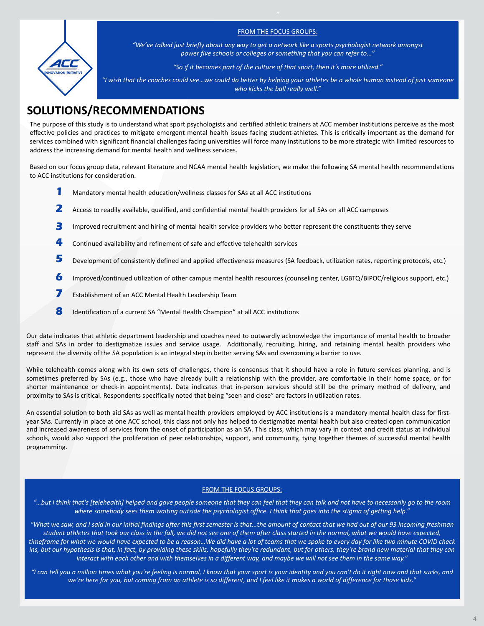The purpose of this study is to understand what sport psychologists and certified athletic trainers at ACC member institutions perceive as the most effective policies and practices to mitigate emergent mental health issues facing student-athletes. This is critically important as the demand for services combined with significant financial challenges facing universities will force many institutions to be more strategic with limited resources to address the increasing demand for mental health and wellness services.

Based on our focus group data, relevant literature and NCAA mental health legislation, we make the following SA mental health recommendations to ACC institutions for consideration.

### **SOLUTIONS/RECOMMENDATIONS**

Our data indicates that athletic department leadership and coaches need to outwardly acknowledge the importance of mental health to broader staff and SAs in order to destigmatize issues and service usage. Additionally, recruiting, hiring, and retaining mental health providers who represent the diversity of the SA population is an integral step in better serving SAs and overcoming a barrier to use.

- Mandatory mental health education/wellness classes for SAs at all ACC institutions **1**
- Access to readily available, qualified, and confidential mental health providers for all SAs on all ACC campuses **2**
- Improved recruitment and hiring of mental health service providers who better represent the constituents they serve **3**
- Continued availability and refinement of safe and effective telehealth services **4**
- Development of consistently defined and applied effectiveness measures (SA feedback, utilization rates, reporting protocols, etc.) **5**
- Improved/continued utilization of other campus mental health resources (counseling center, LGBTQ/BIPOC/religious support, etc.) **6**
- Establishment of an ACC Mental Health Leadership Team **7**
- Identification of a current SA "Mental Health Champion" at all ACC institutions **8**

While telehealth comes along with its own sets of challenges, there is consensus that it should have a role in future services planning, and is sometimes preferred by SAs (e.g., those who have already built a relationship with the provider, are comfortable in their home space, or for shorter maintenance or check-in appointments). Data indicates that in-person services should still be the primary method of delivery, and proximity to SAs is critical. Respondents specifically noted that being "seen and close" are factors in utilization rates.

An essential solution to both aid SAs as well as mental health providers employed by ACC institutions is a mandatory mental health class for firstyear SAs. Currently in place at one ACC school, this class not only has helped to destigmatize mental health but also created open communication and increased awareness of services from the onset of participation as an SA. This class, which may vary in context and credit status at individual schools, would also support the proliferation of peer relationships, support, and community, tying together themes of successful mental health programming.

#### FROM THE FOCUS GROUPS:

*"…but I think that's [telehealth] helped and gave people someone that they can feel that they can talk and not have to necessarily go to the room where somebody sees them waiting outside the psychologist office. I think that goes into the stigma of getting help."*

*"What we saw, and I said in our initial findings after this first semester is that…the amount of contact that we had out of our 93 incoming freshman student athletes that took our class in the fall, we did not see one of them after class started in the normal, what we would have expected, timeframe for what we would have expected to be a reason…We did have a lot of teams that we spoke to every day for like two minute COVID check ins, but our hypothesis is that, in fact, by providing these skills, hopefully they're redundant, but for others, they're brand new material that they can interact with each other and with themselves in a different way, and maybe we will not see them in the same way."*

*"I can tell you a million times what you're feeling is normal, I know that your sport is your identity and you can't do it right now and that sucks, and we're here for you, but coming from an athlete is so different, and I feel like it makes a world of difference for those kids."*



### FROM THE FOCUS GROUPS:

*"We've talked just briefly about any way to get a network like a sports psychologist network amongst power five schools or colleges or something that you can refer to..."*

*"So if it becomes part of the culture of that sport, then it's more utilized."*

*"I wish that the coaches could see…we could do better by helping your athletes be a whole human instead of just someone who kicks the ball really well."*